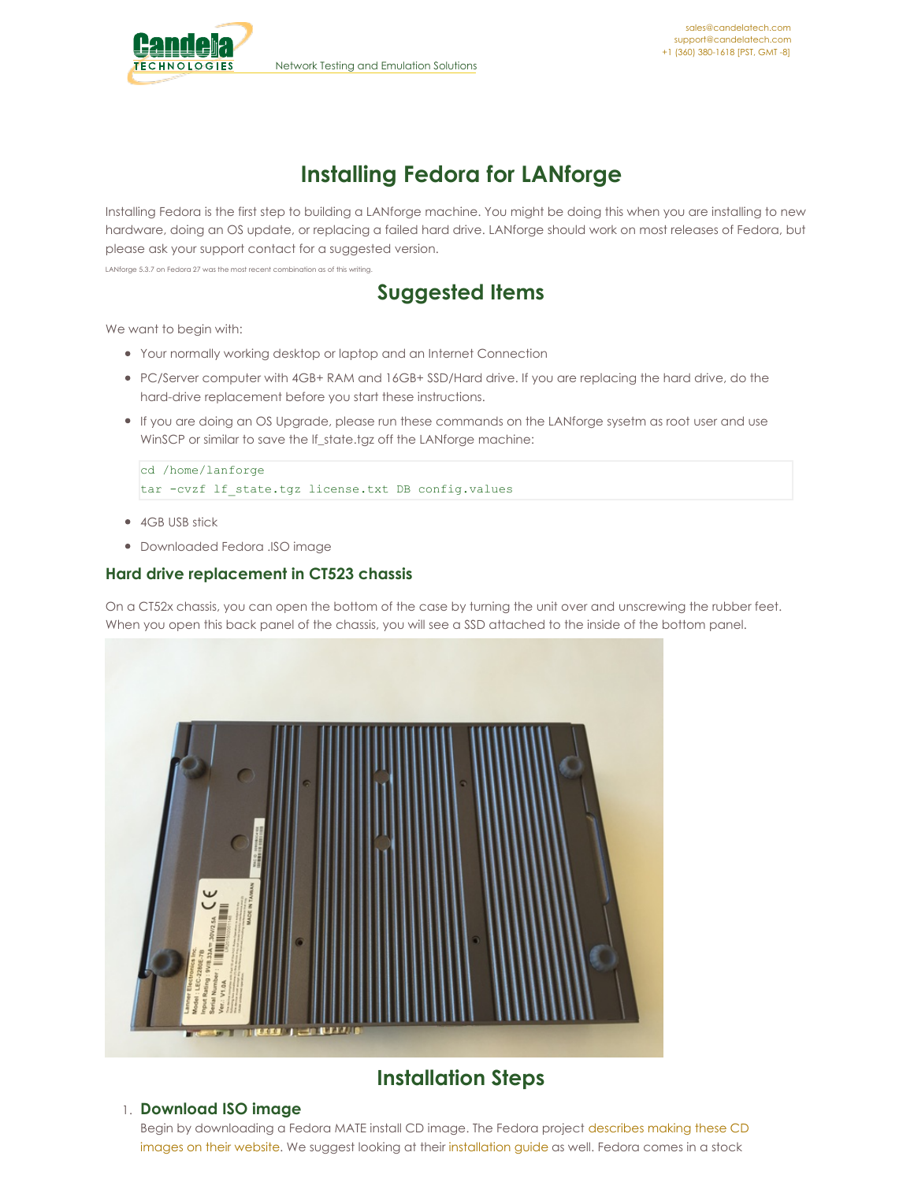

# **Installing Fedora for LANforge**

Installing Fedora is the first step to building a LANforge machine. You might be doing this when you are installing to new hardware, doing an OS update, or replacing a failed hard drive. LANforge should work on most releases of Fedora, but please ask your support contact for a suggested version.

LANforge 5.3.7 on Fedora 27 was the most recent combination as of this writing.

## **Suggested Items**

We want to begin with:

- Your normally working desktop or laptop and an Internet Connection
- PC/Server computer with 4GB+ RAM and 16GB+ SSD/Hard drive. If you are replacing the hard drive, do the hard-drive replacement before you start these instructions.
- If you are doing an OS Upgrade, please run these commands on the LANforge sysetm as root user and use WinSCP or similar to save the lf\_state.tgz off the LANforge machine:

cd /home/lanforge tar -cvzf lf\_state.tgz license.txt DB config.values

- 4GB USB stick
- Downloaded Fedora .ISO image

## **Hard drive replacement in CT523 chassis**

On a CT52x chassis, you can open the bottom of the case by turning the unit over and unscrewing the rubber feet. When you open this back panel of the chassis, you will see a SSD attached to the inside of the bottom panel.



## **Installation Steps**

## 1. **Download ISO image**

Begin by [downloading](https://getfedora.org/en/workstation/download/) a Fedora MATE install CD image. The Fedora project describes making these CD images on their website. We suggest looking at their [installation](https://docs.fedoraproject.org/en-US/Fedora/27/html/Installation_Guide/) guide as well. Fedora comes in a stock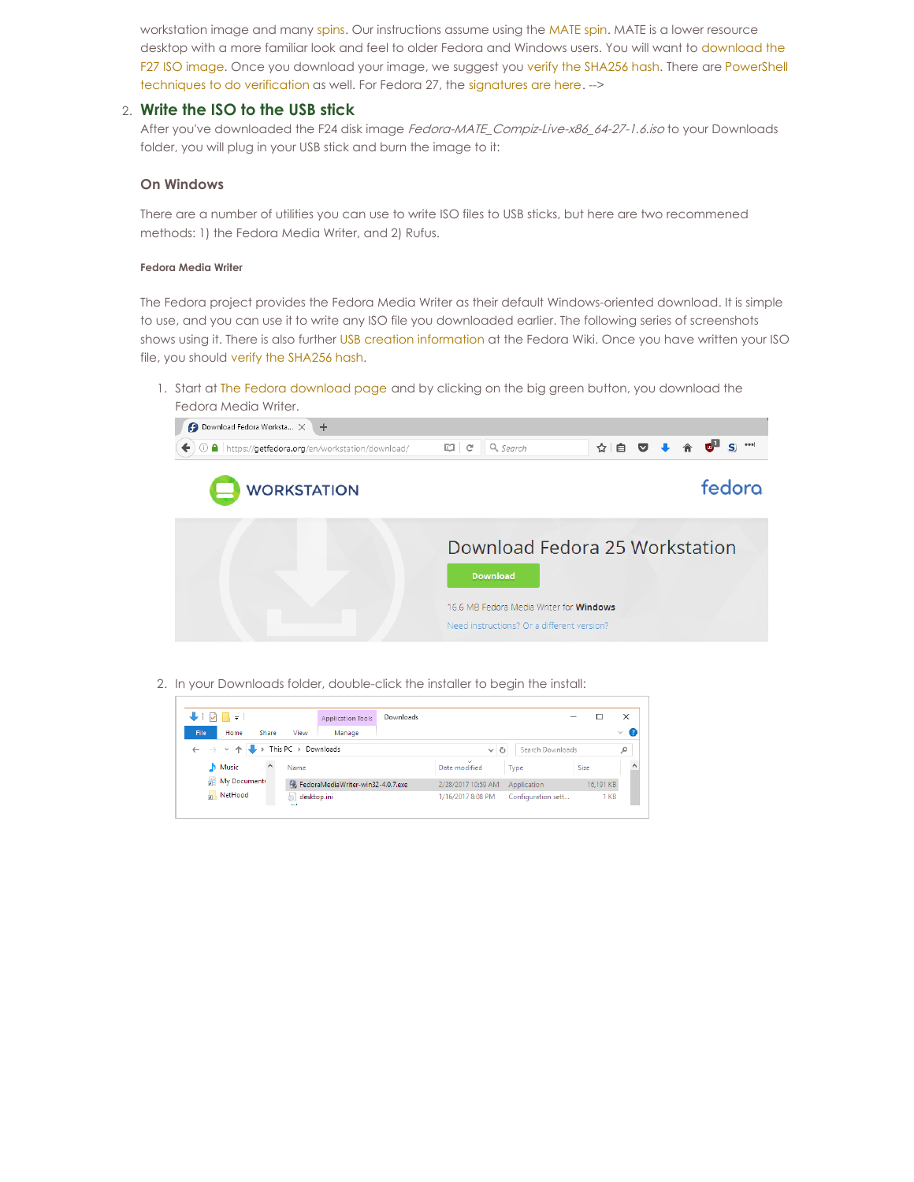workstation image and many [spins](https://spins.fedoraproject.org/). Our instructions assume using the [MATE](https://spins.fedoraproject.org/en/mate-compiz/) spin. MATE is a lower resource desktop with a more familiar look and feel to older Fedora and Windows users. You will want to [download](http://mirror.math.princeton.edu/pub/fedora/linux/releases/27/Spins/x86_64/iso/Fedora-MATE_Compiz-Live-x86_64-27-1.6.iso) the F27 ISO image. Once you download your image, we suggest you verify the [SHA256](https://getfedora.org/verify) hash. There are PowerShell [techniques](https://docs.fedoraproject.org/en-US/fedora/f27/install-guide/install/Preparing_for_Installation/) to do verification as well. For Fedora 27, the [signatures](https://spins.fedoraproject.org/static/checksums/Fedora-Spins-24-1.2-x86_64-CHECKSUM) are here. -->

## 2. **Write the ISO to the USB stick**

After you've downloaded the F24 disk image Fedora-MATE\_Compiz-Live-x86\_64-27-1.6.iso to your Downloads folder, you will plug in your USB stick and burn the image to it:

## **On Windows**

There are a number of utilities you can use to write ISO files to USB sticks, but here are two recommened methods: 1) the Fedora Media Writer, and 2) Rufus.

#### **Fedora Media Writer**

The Fedora project provides the Fedora Media Writer as their default Windows-oriented download. It is simple to use, and you can use it to write any ISO file you downloaded earlier. The following series of screenshots shows using it. There is also further USB creation [information](https://fedoraproject.org/wiki/How_to_create_and_use_Live_USB) at the Fedora Wiki. Once you have written your ISO file, you should verify the [SHA256](https://getfedora.org/verify) hash.

1. Start at The Fedora [download](http://getfedora.org/en/workstation/download/) page and by clicking on the big green button, you download the Fedora Media Writer.



2. In your Downloads folder, double-click the installer to begin the install:

| H.                                             | Application Tools                 | Downloads |                         |                    |           | ×                  |
|------------------------------------------------|-----------------------------------|-----------|-------------------------|--------------------|-----------|--------------------|
| File<br>View<br>Home<br>Share                  | Manage                            |           |                         |                    |           | Œ.<br>$\checkmark$ |
| This PC > Downloads<br>$\rightarrow$<br>$\sim$ |                                   |           | Ō<br>$\checkmark$       | Search Downloads   |           | Ω                  |
| $\wedge$<br>$M$ Music<br>Name                  |                                   |           | $\sim$<br>Date modified | Type               | Size      | $\land$            |
| My Document:                                   | FedoraMediaWriter-win32-4.0.7.exe |           | 2/28/2017 10:59 AM      | Application        | 16,191 KB |                    |
| <b>NetHood</b><br><b>Sept.</b>                 | desktop.ini                       |           | 1/16/2017 8:08 PM       | Configuration sett | 1 KB      |                    |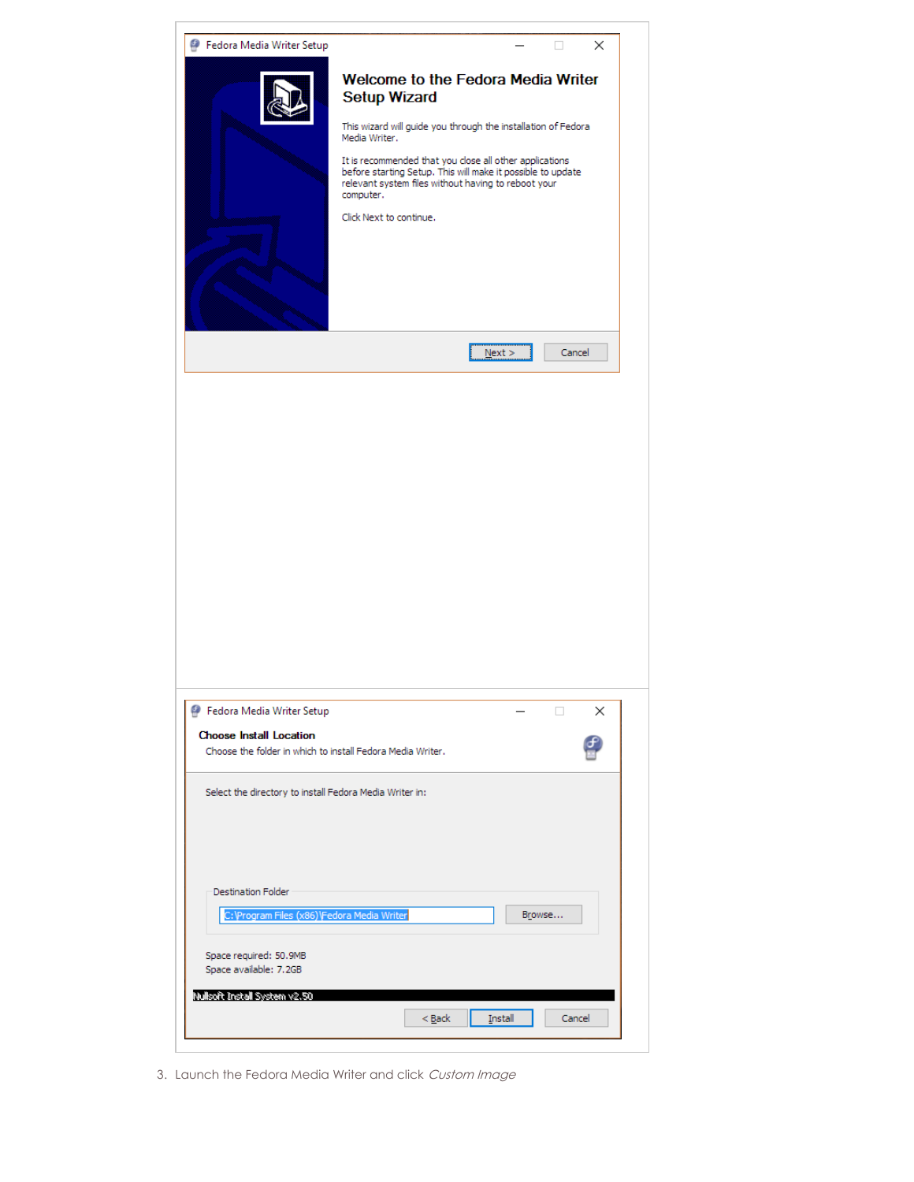| Fedora Media Writer Setup                                                                                                                                                              | ×                                                                                                                                                                                                                                                                                                                                                                    |
|----------------------------------------------------------------------------------------------------------------------------------------------------------------------------------------|----------------------------------------------------------------------------------------------------------------------------------------------------------------------------------------------------------------------------------------------------------------------------------------------------------------------------------------------------------------------|
|                                                                                                                                                                                        | Welcome to the Fedora Media Writer<br><b>Setup Wizard</b><br>This wizard will guide you through the installation of Fedora<br>Media Writer.<br>It is recommended that you close all other applications<br>before starting Setup. This will make it possible to update<br>relevant system files without having to reboot your<br>computer.<br>Click Next to continue. |
|                                                                                                                                                                                        | Next<br>Cancel                                                                                                                                                                                                                                                                                                                                                       |
|                                                                                                                                                                                        |                                                                                                                                                                                                                                                                                                                                                                      |
| <b>P</b> Fedora Media Writer Setup<br><b>Choose Install Location</b>                                                                                                                   | $\Box$<br>×                                                                                                                                                                                                                                                                                                                                                          |
| Choose the folder in which to install Fedora Media Writer.                                                                                                                             |                                                                                                                                                                                                                                                                                                                                                                      |
| Select the directory to install Fedora Media Writer in:<br><b>Destination Folder</b><br>C:\Program Files (x86)\Fedora Media Writer<br>Space required: 50.9MB<br>Space available: 7.2GB | Browse                                                                                                                                                                                                                                                                                                                                                               |
| Nullsoft Install System v2.50                                                                                                                                                          | < <u>B</u> ack<br>Install<br>Cancel                                                                                                                                                                                                                                                                                                                                  |

3. Launch the Fedora Media Writer and click Custom Image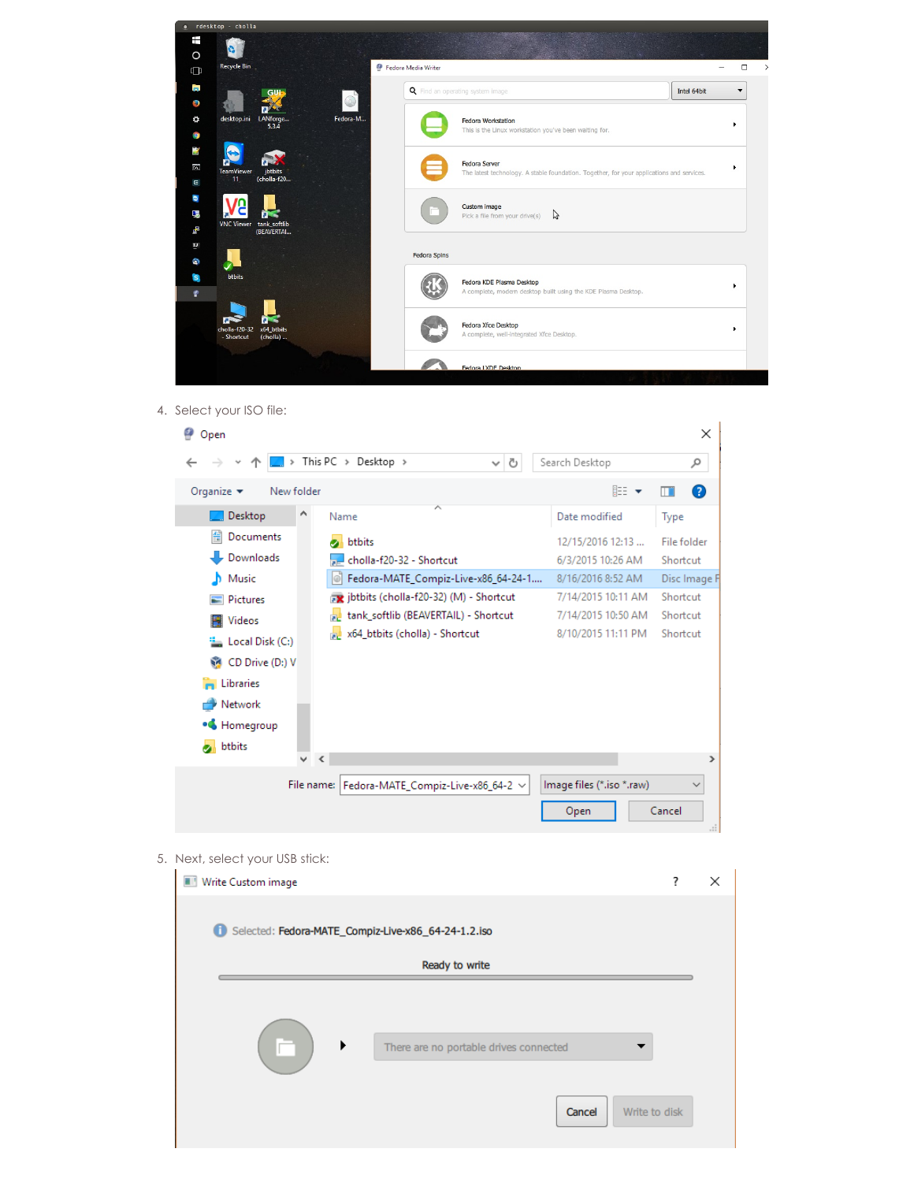

4. Select your ISO file:



5. Next, select your USB stick:

| Write Custom image                                    |                         | × |
|-------------------------------------------------------|-------------------------|---|
| G Selected: Fedora-MATE_Compiz-Live-x86_64-24-1.2.iso |                         |   |
| Ready to write                                        |                         |   |
|                                                       |                         |   |
| ▶<br>There are no portable drives connected           |                         |   |
|                                                       | Cancel<br>Write to disk |   |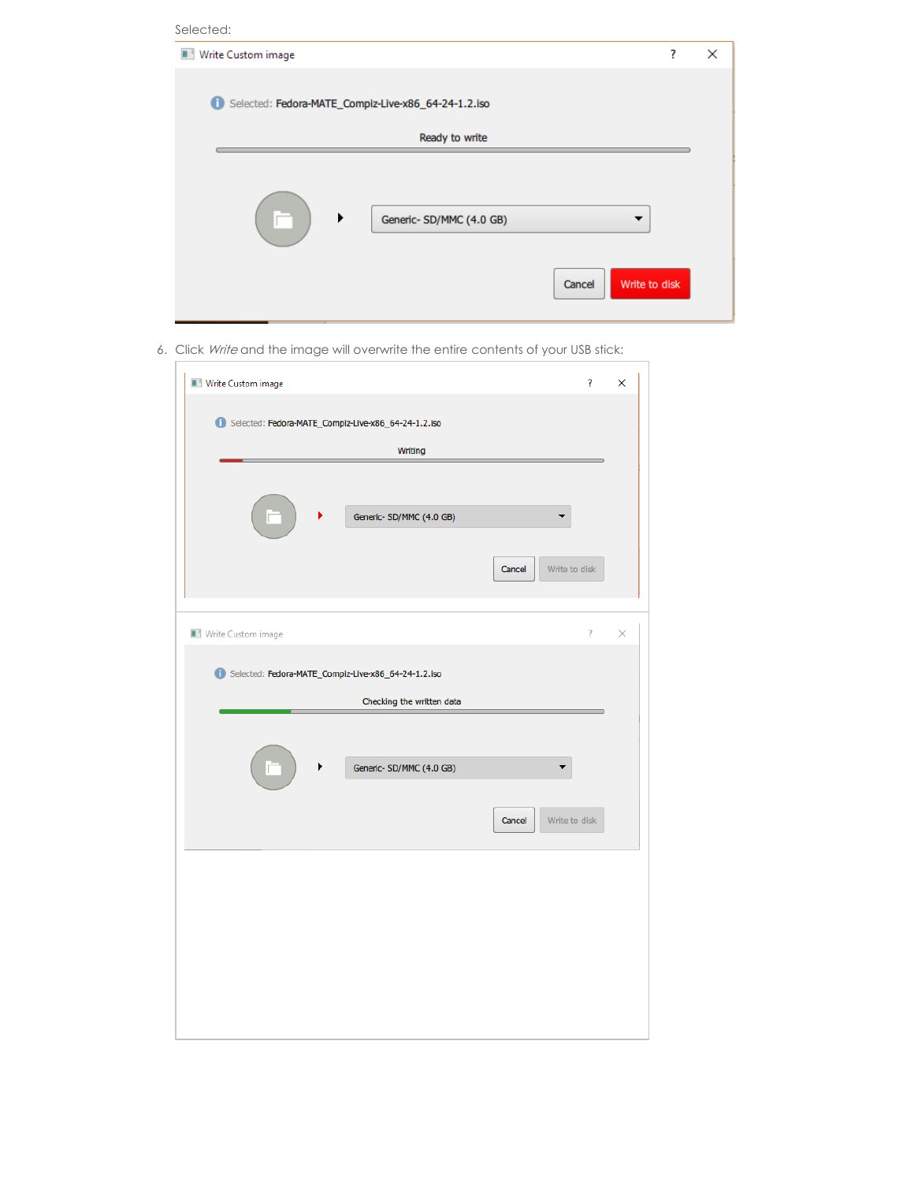| Selected:                                                |                              |   |
|----------------------------------------------------------|------------------------------|---|
| Write Custom image                                       | ?                            | × |
| O<br>Selected: Fedora-MATE_Compiz-Live-x86_64-24-1.2.iso |                              |   |
| Ready to write                                           |                              |   |
| ▶<br>Generic- SD/MMC (4.0 GB)                            | ▼<br>Cancel<br>Write to disk |   |

6. Click Write and the image will overwrite the entire contents of your USB stick:

 $\overline{\Gamma}$ 

| Write Custom image                                      | $\overline{\mathbf{?}}$ | × |
|---------------------------------------------------------|-------------------------|---|
| 6 Selected: Fedora-MATE_Compiz-Live-x86_64-24-1.2.iso   |                         |   |
| <b>Writing</b>                                          |                         |   |
| ▶<br>Generic-SD/MMC (4.0 GB)<br>Cancel<br>Write to disk |                         |   |
| Write Custom image                                      | $\overline{?}$          | × |
| Selected: Fedora-MATE_Compiz-Live-x86_64-24-1.2.iso     |                         |   |
| Checking the written data                               |                         |   |
| Generic- SD/MMC (4.0 GB)                                |                         |   |
| Write to disk<br>Cancel                                 |                         |   |
|                                                         |                         |   |
|                                                         |                         |   |
|                                                         |                         |   |
|                                                         |                         |   |
|                                                         |                         |   |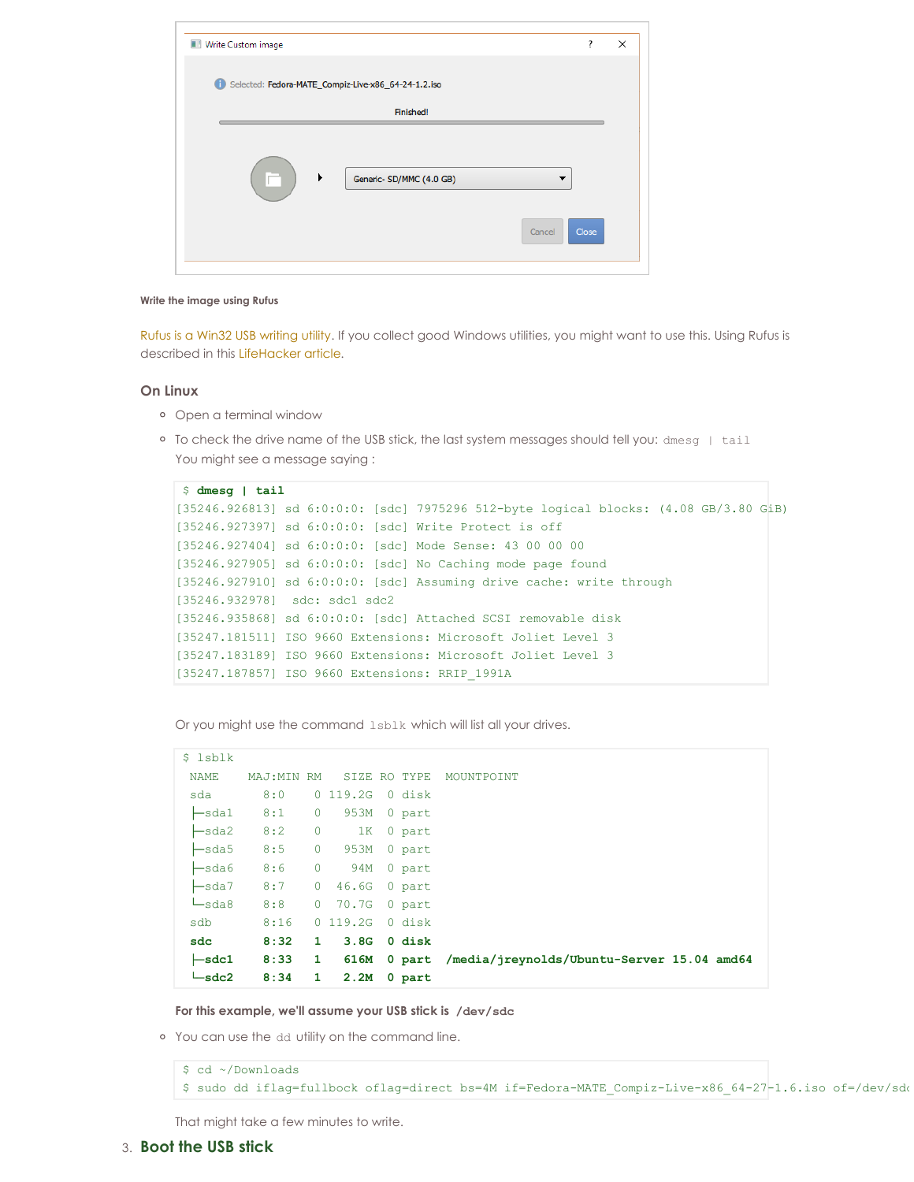| Write Custom image                                  |        | ?     | × |
|-----------------------------------------------------|--------|-------|---|
| Selected: Fedora-MATE_Compiz-Live-x86_64-24-1.2.iso |        |       |   |
| Finished!                                           |        |       |   |
| ▶<br>Generic- SD/MMC (4.0 GB)                       | Cancel | Close |   |

#### **Write the image using Rufus**

Rufus is a Win32 USB [writing](https://rufus.akeo.ie/) utility. If you collect good Windows utilities, you might want to use this. Using Rufus is described in this [LifeHacker](https://www.howtogeek.com/191054/how-to-create-bootable-usb-drives-and-sd-cards-for-every-operating-system/) article.

### **On Linux**

- Open a terminal window
- To check the drive name of the USB stick, the last system messages should tell you: dmesg | tail You might see a message saying :

```
$ dmesg | tail
[35246.926813] sd 6:0:0:0: [sdc] 7975296 512-byte logical blocks: (4.08 GB/3.80 GiB)
[35246.927397] sd 6:0:0:0: [sdc] Write Protect is off
[35246.927404] sd 6:0:0:0: [sdc] Mode Sense: 43 00 00 00
[35246.927905] sd 6:0:0:0: [sdc] No Caching mode page found
[35246.927910] sd 6:0:0:0: [sdc] Assuming drive cache: write through
[35246.932978] sdc: sdc1 sdc2
[35246.935868] sd 6:0:0:0: [sdc] Attached SCSI removable disk
[35247.181511] ISO 9660 Extensions: Microsoft Joliet Level 3
[35247.183189] ISO 9660 Extensions: Microsoft Joliet Level 3
[35247.187857] ISO 9660 Extensions: RRIP_1991A
```
Or you might use the command lsblk which will list all your drives.

| \$ 1sblk                          |             |                |              |        |                                            |
|-----------------------------------|-------------|----------------|--------------|--------|--------------------------------------------|
| <b>NAME</b>                       | MAJ: MIN RM |                | SIZE RO TYPE |        | MOUNTPOINT                                 |
| sda                               | 8:0         |                | 0 119.2G     | 0 disk |                                            |
| $\ensuremath{\mathsf{L}}$ sda $1$ | 8:1         | $\overline{0}$ | 953M         | 0 part |                                            |
| $\ensuremath{\mathsf{L}}$ sda2    | 8:2         | $\circ$        | 1K           | 0 part |                                            |
| $\ensuremath{\mathsf{L}}$ sda5    | 8:5         | $\circ$        | 953M         | 0 part |                                            |
| $\ensuremath{\mathsf{L}}$ sda6    | 8:6         | $\circ$        | 94M          | 0 part |                                            |
| $\ensuremath{\mathsf{L}}$ sda $7$ | 8:7         | $\overline{0}$ | 46.6G        | 0 part |                                            |
| $\sqcup$ sda8                     | 8:8         |                | 0 70.7G      | 0 part |                                            |
| sdb                               | 8:16        |                | 0 119.2G     | 0 disk |                                            |
| sdc                               | 8:32        | $\mathbf{1}$   | 3.8G         | 0 disk |                                            |
| $\leftarrow$ sdc1                 | 8:33        | $\mathbf{1}$   | 616M         | 0 part | /media/jreynolds/Ubuntu-Server 15.04 amd64 |
| $-\text{sdc2}$                    | 8:34        | $\mathbf{1}$   | 2.2M         | 0 part |                                            |

**For this example, we'll assume your USB stick is /dev/sdc**

You can use the dd utility on the command line.

\$ cd ~/Downloads \$ sudo dd iflag=fullbock oflag=direct bs=4M if=Fedora-MATE\_Compiz-Live-x86\_64-27-1.6.iso of=/dev/sdc

That might take a few minutes to write.

## 3. **Boot the USB stick**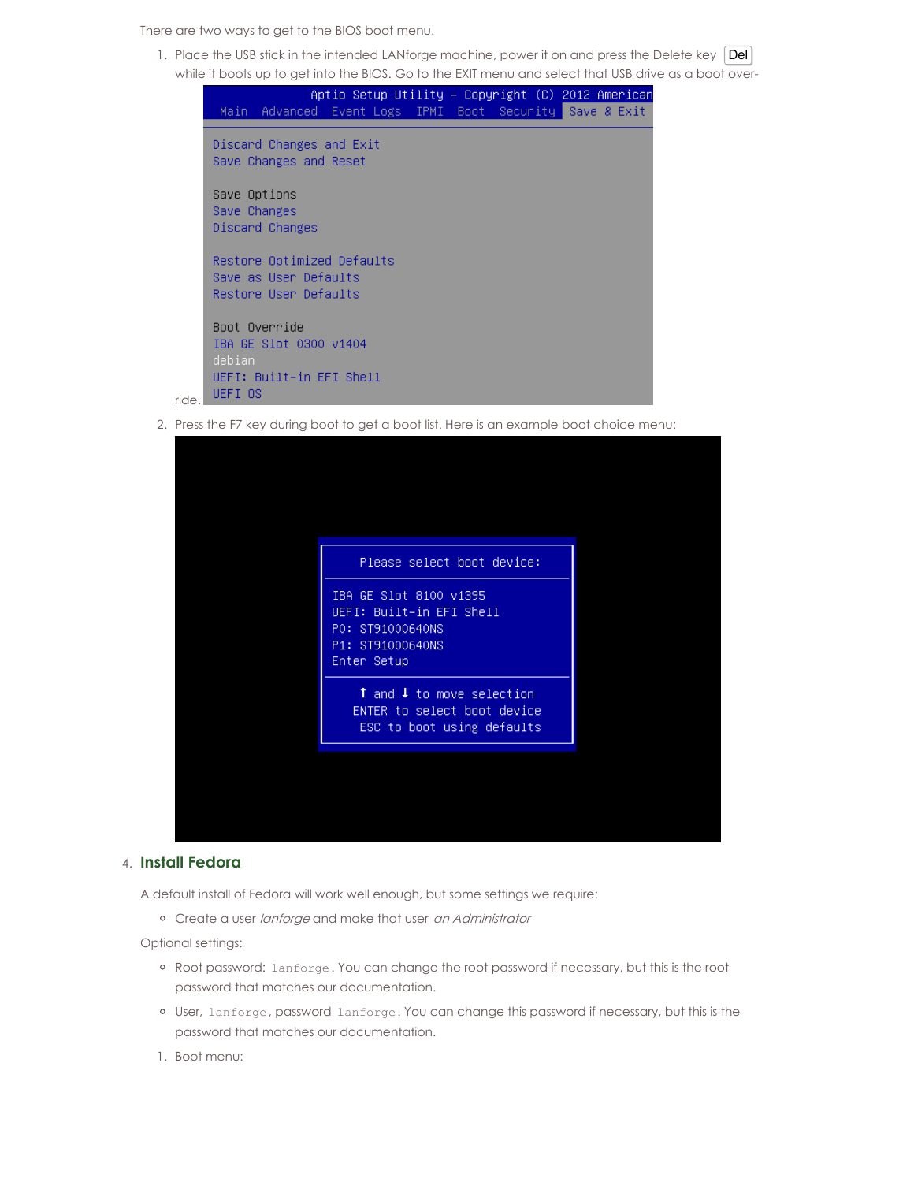There are two ways to get to the BIOS boot menu.

1. Place the USB stick in the intended LANforge machine, power it on and press the Delete key | Del| while it boots up to get into the BIOS. Go to the EXIT menu and select that USB drive as a boot over-



2. Press the F7 key during boot to get a boot list. Here is an example boot choice menu:

## 4. **Install Fedora**

A default install of Fedora will work well enough, but some settings we require:

o Create a user lanforge and make that user an Administrator

Optional settings:

- o Root password: lanforge. You can change the root password if necessary, but this is the root password that matches our documentation.
- User, lanforge, password lanforge. You can change this password if necessary, but this is the password that matches our documentation.
- 1. Boot menu: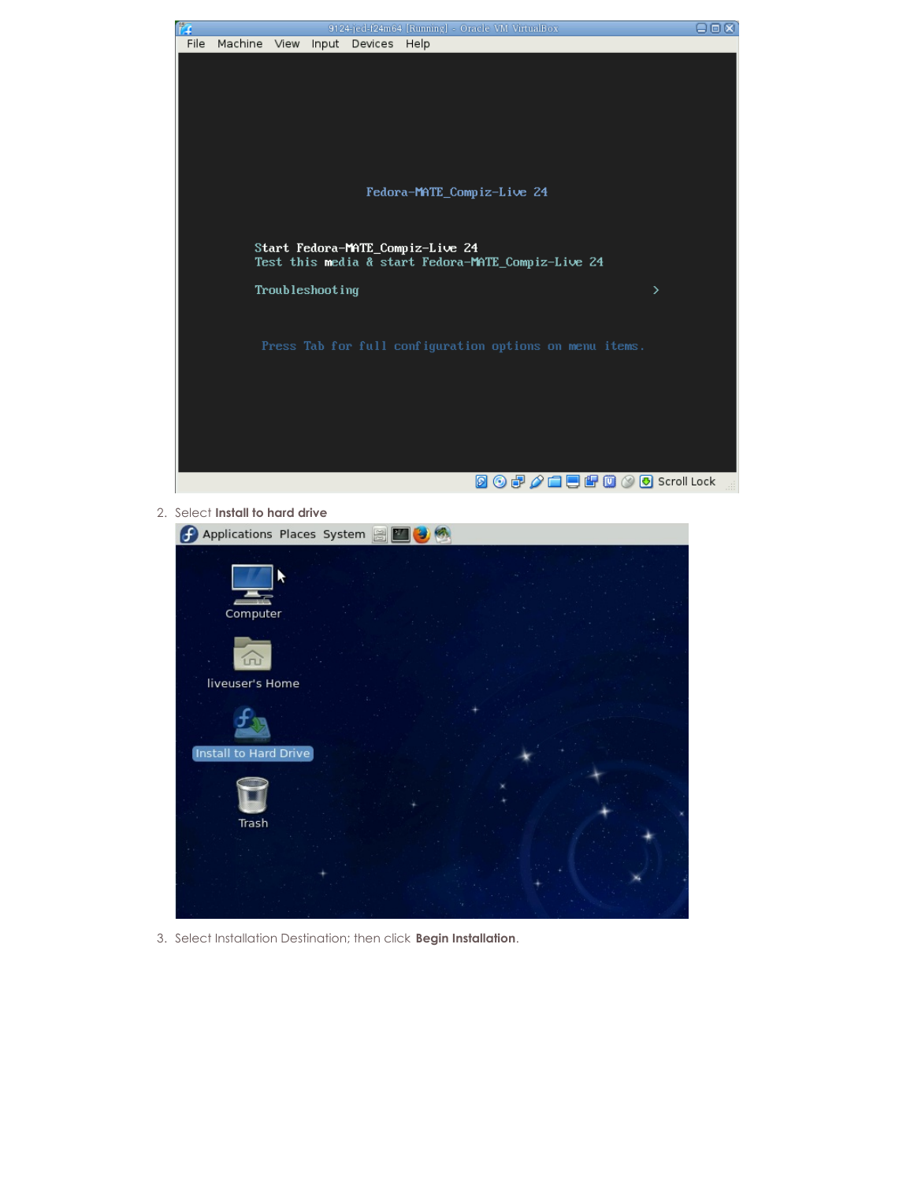

### 2. Select **Install to hard drive**

| Applications Places System |  |
|----------------------------|--|
| Computer                   |  |
| m                          |  |
| liveuser's Home            |  |
|                            |  |
| Install to Hard Drive      |  |
| Trash                      |  |
|                            |  |
|                            |  |
|                            |  |

3. Select Installation Destination; then click **Begin Installation**.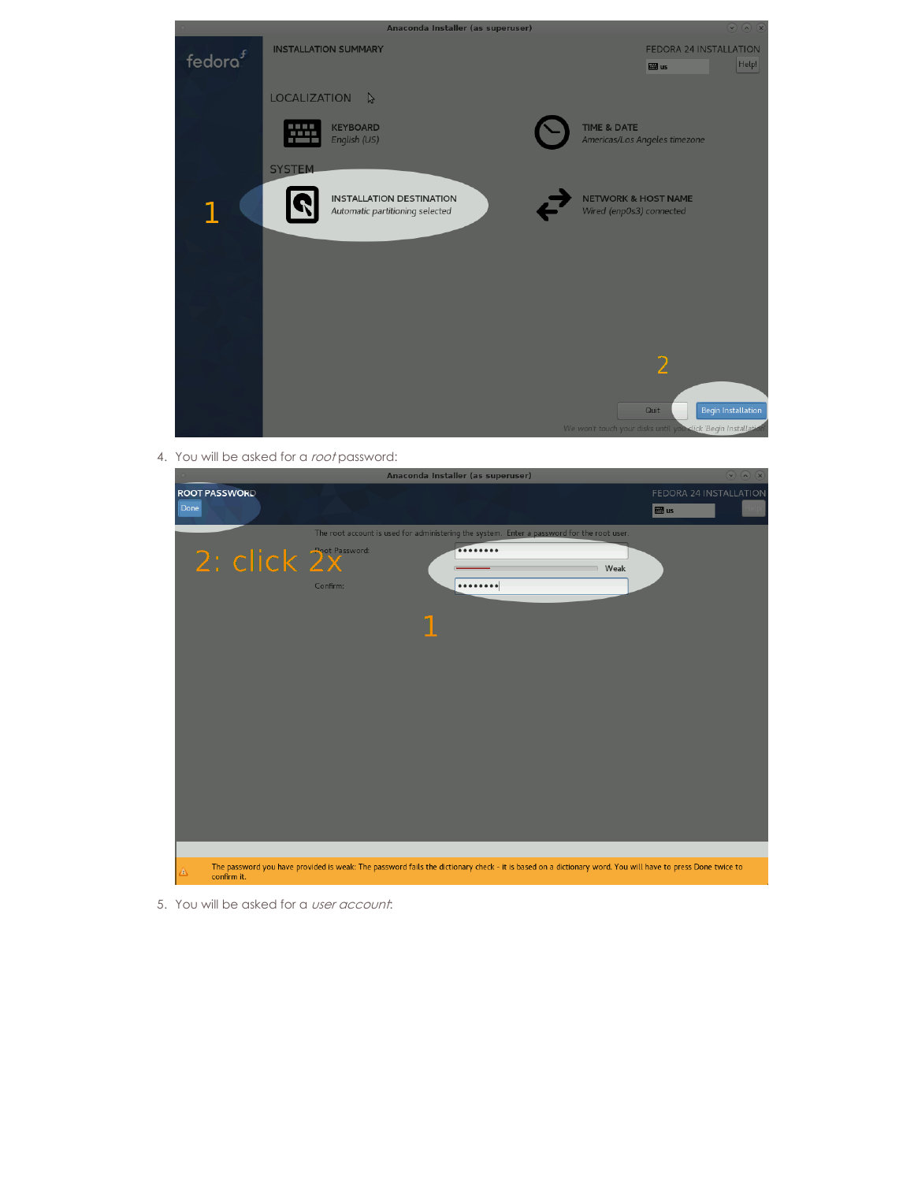

4. You will be asked for a root password:



5. You will be asked for a user account: